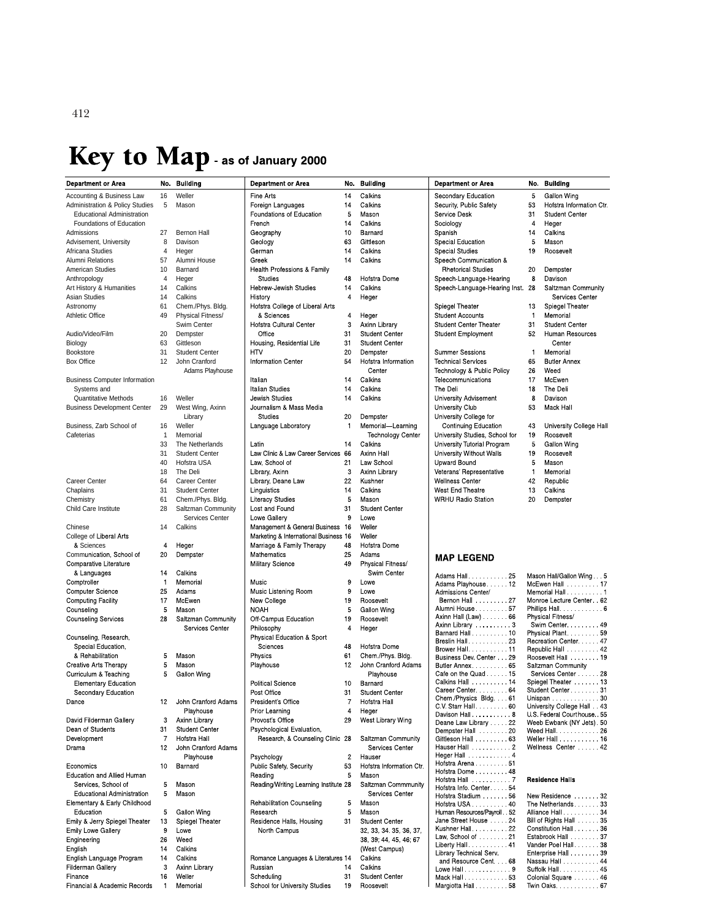# Key to Map - as of January 2000

| <b>Department or Area</b>                  | No.                  | <b>Building</b>                        | <b>Department or Area</b>             | No.            | <b>Building</b>                         | De          |
|--------------------------------------------|----------------------|----------------------------------------|---------------------------------------|----------------|-----------------------------------------|-------------|
| Accounting & Business Law                  | 16                   | Weller                                 | Fine Arts                             | 14             | Calkins                                 | Seo         |
| <b>Administration &amp; Policy Studies</b> | 5                    | Mason                                  | Foreign Languages                     | 14             | Calkins                                 | Seo         |
| <b>Educational Administration</b>          |                      |                                        | Foundations of Education              |                | Mason                                   | Ser         |
| Foundations of Education                   |                      |                                        | French                                | 14             | Calkins                                 | Soo         |
| Admissions                                 | 27                   | Bernon Hall                            | Geography                             | 10             | Barnard                                 | Spa         |
| Advisement, University                     | 8                    | Davison                                | Geology                               | 63             | Gittleson                               | $_{\rm Sp}$ |
| Africana Studies<br>Alumni Relations       | $\overline{4}$<br>57 | Heger<br>Alumni House                  | German<br>Greek                       | 14<br>14       | Calkins<br>Calkins                      | Sp6         |
| American Studies                           | 10                   | Barnard                                | Health Professions & Family           |                |                                         | Sp          |
| Anthropology                               | $\overline{4}$       | Heger                                  | <b>Studies</b>                        | 48             | Hofstra Dome                            | Spe         |
| Art History & Humanities                   | 14                   | Calkins                                | Hebrew-Jewish Studies                 | 14             | Calkins                                 | Sp          |
| <b>Asian Studies</b>                       | 14                   | Calkins                                | History                               | 4              | Heger                                   |             |
| Astronomy                                  | 61                   | Chem./Phys. Bldg.                      | Hofstra College of Liberal Arts       |                |                                         | Spi         |
| Athletic Office                            | 49                   | Physical Fitness/                      | & Sciences                            | 4              | Heger                                   | Stu         |
|                                            |                      | Swim Center                            | Hofstra Cultural Center               | 3              | Axinn Library                           | Stu         |
| Audio/Video/Film                           | 20                   | Dempster                               | Office                                | 31             | <b>Student Center</b>                   | Stu         |
| Biology                                    | 63                   | Gittleson                              | Housing, Residential Life             | 31             | <b>Student Center</b>                   | Sur         |
| <b>Bookstore</b><br>Box Office             | 31<br>12             | <b>Student Center</b><br>John Cranford | HTV<br><b>Information Center</b>      | 20<br>54       | Dempster<br>Hofstra Information         | Tec         |
|                                            |                      | Adams Playhouse                        |                                       |                | Center                                  | Tec         |
| <b>Business Computer Information</b>       |                      |                                        | talian                                | 14             | Calkins                                 | Tele        |
| Systems and                                |                      |                                        | <b>Italian Studies</b>                | 14             | Calkins                                 | The         |
| <b>Quantitative Methods</b>                | 16                   | Weller                                 | Jewish Studies                        | 14             | Calkins                                 | Uni         |
| <b>Business Development Center</b>         | 29                   | West Wing, Axinn                       | Journalism & Mass Media               |                |                                         | Uni         |
|                                            |                      | Library                                | <b>Studies</b>                        | 20             | Dempster                                | Uni         |
| Business, Zarb School of                   | 16                   | Weller                                 | Language Laboratory                   | $\mathbf{1}$   | Memorial-Learning                       |             |
| Cafeterias                                 | 1                    | Memorial                               |                                       |                | <b>Technology Center</b>                | Uni         |
|                                            | 33                   | The Netherlands                        | Latin                                 | 14             | Calkins                                 | Uni         |
|                                            | 31<br>40             | <b>Student Center</b>                  | Law Clinic & Law Career Services 66   |                | Axinn Hall                              | Uni         |
|                                            | 18                   | Hofstra USA<br>The Deli                | Law, School of<br>Library, Axinn      | 21<br>3        | Law School<br>Axinn Library             | Up<br>Vet   |
| Career Center                              | 64                   | Career Center                          | Library, Deane Law                    | 22             | Kushner                                 | We          |
| Chaplains                                  | 31                   | <b>Student Center</b>                  | Linguistics                           | 14             | Calkins                                 | We          |
| Chemistry                                  | 61                   | Chem./Phys. Bldg.                      | <b>Literacy Studies</b>               | 5              | Mason                                   | WF          |
| Child Care Institute                       | 28                   | Saltzman Community                     | Lost and Found                        | 31             | <b>Student Center</b>                   |             |
|                                            |                      | <b>Services Center</b>                 | Lowe Gallery                          | 9              | Lowe                                    |             |
| Chinese                                    | 14                   | Calkins                                | Management & General Business 16      |                | Weller                                  |             |
| College of Liberal Arts                    |                      |                                        | Marketing & International Business 16 |                | Weller                                  |             |
| & Sciences                                 | 4                    | Heger                                  | Marriage & Family Therapy             | 48             | Hofstra Dome                            |             |
| Communication, School of                   | 20                   | Dempster                               | Mathematics                           | 25<br>49       | Adams                                   | M,          |
| Comparative Literature<br>& Languages      | 14                   | Calkins                                | <b>Military Science</b>               |                | Physical Fitness/<br>Swim Center        |             |
| Comptroller                                | 1                    | Memorial                               | Music                                 | 9              | Lowe                                    | Ad<br>Ad    |
| <b>Computer Science</b>                    | 25                   | Adams                                  | Music Listening Room                  | 9              | Lowe                                    | Ad          |
| <b>Computing Facility</b>                  | 17                   | McEwen                                 | New College<br>19                     |                | Roosevelt                               | в           |
| Counseling                                 | 5                    | Mason                                  | <b>NOAH</b>                           | 5              | Gallon Wing                             | Alu         |
| <b>Counseling Services</b>                 | 28                   | Saltzman Community                     | Off Campus Education                  | 19             | Roosevelt                               | Axi<br>Axi  |
|                                            |                      | Services Center                        | Philosophy                            | $\overline{4}$ | Heger                                   | Ba          |
| Counseling, Research,                      |                      |                                        | Physical Education & Sport            |                |                                         | Bre         |
| Special Education,                         |                      |                                        | Sciences                              | 48             | Hofstra Dome                            | Bro         |
| & Rehabilitation<br>Creative Arts Therapy  | 5<br>5               | Mason<br>Mason                         | Physics<br>Playhouse                  | 61<br>12       | Chem/Phys. Bidg.<br>John Cranford Adams | Bu<br>Bu    |
| Curriculum & Teaching                      | 5                    | Gallon Wing                            |                                       |                | Playhouse                               | Ca          |
| <b>Elementary Education</b>                |                      |                                        | <b>Political Science</b>              | 10             | Barnard                                 | Ca          |
| Secondary Education                        |                      |                                        | Post Office                           | 31             | <b>Student Center</b>                   | Ca          |
| Dance                                      | 12                   | John Cranford Adams                    | President's Office                    | 7              | Hofstra Hall                            | Ch          |
|                                            |                      | Playhouse                              | Prior Learning                        | 4              | Heger                                   | C١<br>Da    |
| David Filderman Gallery                    | 3                    | Axinn Library                          | Provost's Office                      | 29             | West Library Wing                       | De          |
| Dean of Students                           | 31                   | <b>Student Center</b>                  | Psychological Evaluation,             |                |                                         | De          |
| Development                                | 7                    | Hofstra Hall                           | Research, & Counseling Clinic 28      |                | Saltzman Community                      | Git<br>Ha   |
| Drama                                      | 12                   | John Cranford Adams<br>Playhouse       | Psychology                            | $\overline{c}$ | Services Center<br>Hauser               | He          |
| Economics                                  | 10                   | Barnard                                | Public Safety, Security               | 53             | Hofstra Information Ctr.                | Ho          |
| Education and Allied Human                 |                      |                                        | Reading                               | 5              | Mason                                   | Ho          |
| Services, School of                        | 5                    | Mason                                  | Reading/Writing Learning Institute 28 |                | Saltzman Commmunity                     | Ho<br>Ho    |
| <b>Educational Administration</b>          | 5                    | Mason                                  |                                       |                | Services Center                         | Ho          |
| Elementary & Early Childhood               |                      |                                        | <b>Rehabilitation Counseling</b>      | 5              | Mason                                   | Ho          |
| Education                                  | 5                    | Gallon Wing                            | Research                              | 5              | Mason                                   | Hu          |
| Emily & Jerry Spiegel Theater              | 13                   | Spiegel Theater                        | Residence Halls, Housing              | 31             | <b>Student Center</b>                   | Jar         |
| <b>Emily Lowe Gallery</b>                  | 9                    | Lowe                                   | North Campus                          |                | 32, 33, 34, 35, 36, 37,                 | Ku:<br>La   |
| Engineering                                | 26                   | Weed                                   |                                       |                | 38, 39; 44, 45, 46; 67                  | Lib         |
| English<br>English Language Program        | 14<br>14             | Calkins<br>Calkins                     | Romance Languages & Literatures 14    |                | (West Campus)<br>Calkins                | Lib         |
| Filderman Gallery                          | 3                    | Axinn Library                          | Russian                               | 14             | Calkins                                 | a           |
| Finance                                    | 16                   | Weller                                 | Scheduling                            | 31             | <b>Student Center</b>                   | Lo<br>Ma    |
| Financial & Academic Records               | 1                    | Memorial                               | School for University Studies         | 19             | Roosevelt                               | Ma          |

| partment or Area             | No. | <b>Building</b>                       |
|------------------------------|-----|---------------------------------------|
| condary Education            | 5   | Gallon Wing                           |
| curity, Public Safety        | 53  | Hofstra Information Ctr.              |
| rvice Desk                   | 31  | <b>Student Center</b>                 |
| ciology                      | 4   | Heger                                 |
| anish                        | 14  | Calkins                               |
| ecial Education              | 5   | Mason                                 |
| ecial Studies                | 19  | Roosevelt                             |
| eech Communication &         |     |                                       |
| <b>Rhetorical Studies</b>    | 20  | Dempster                              |
| eech Language Hearing        | 8   | Davison                               |
| eech-Language-Hearing Inst.  | 28  | Saltzman Community<br>Services Center |
| iegel Theater                | 13  | Spiegel Theater                       |
| <b>udent Accounts</b>        | 1   | Memorial                              |
| dent Center Theater          | 31  | Student Center                        |
| ident Employment             | 52  | Human Resources                       |
|                              |     | Center                                |
| mmer Sessions                | 1   | Memorial                              |
| chnical Services             | 65  | <b>Butler Annex</b>                   |
| chnology & Public Policy     | 26  | Weed                                  |
| ecommunications              | 17  | McEwen                                |
| e Deli                       | 18  | The Deli                              |
| iversity Advisement          | 8   | Davison                               |
| iversity Club                | 53  | Mack Hall                             |
| iversity College for         |     |                                       |
| Continuing Education         | 43  | University College Hall               |
| iversity Studies, School for | 19  | Roosevelt                             |
| iversity Tutorial Program    | 5   | Gallon Wing                           |
| iversity Without Walls       | 19  | Roosevelt                             |
| ward Bound                   | 5   | Mason                                 |
| terans' Representative       | 1   | Memorial                              |
| <b>Ilness Center</b>         | 42  | Republic                              |
| est End Theatre              | 13  | Calkins                               |
| <b>RHU Badio Station</b>     | 20  | Demnster                              |

### **IAP LEGEND**

| Adams Hall. 25              | ٨          |
|-----------------------------|------------|
| Adams Playhouse 12          | ۸          |
| Admissions Center/          | Λ          |
|                             | Ν          |
|                             | F          |
|                             | F          |
| Axinn Library 3             |            |
| Barnard Hall 10             | F          |
|                             | F          |
| Brower Hall 11              | F          |
| Business Dev. Center 29     | F          |
|                             | Ś          |
| Cafe on the Quad. 15        |            |
| Calkins Hall  14            | Ś          |
| Career Center 64            | Ś          |
| Chem / Physics Bldg. 61     | l          |
| C.V. Starr Hall  60         | l          |
| Davison Hall 8              | l          |
| Deane Law Library 22        | V          |
| Dempster Hall  20           | V          |
| Gittleson Hall 63           | V          |
|                             | V          |
| Heger Hall  4               |            |
| Hofstra Arena 51            |            |
| Hofstra Dome 48             |            |
|                             | F          |
| Hofstra Info. Center. 54    |            |
| Hofstra Stadium  56         | N          |
| Hofstra USA 40              | Ī          |
| Human Resources/Payroll. 52 | A          |
| Jane Street House 24        | E          |
| Kushner Hall 22             | $\epsilon$ |
| Law, School of 21           | E          |
|                             | ١          |
| Library Technical Serv.     | E          |
| and Resource Cent. 68       | N          |
| Lowe Hall 9                 | Ś          |
|                             | C          |
| Margiotta Hall 58           | Ī          |
|                             |            |

## Mason Hall/Gallon Wing.... 5 Spiegel Theater 13 Student Center<br>
Student Center<br>
Unispan<br>
University College Hall<br>
U.S. Federal Courthouse. 55 Weeb Ewbank (NY Jets). 50 Weed Hall.  $\ldots$  . . . . . . . 26 Weller Hall<br>Weller Hall<br>Wellness Center .......42

#### Residence Halls

| New Residence  32      |  |
|------------------------|--|
| The Netherlands. 33    |  |
| Alliance Hall 34       |  |
| Bill of Rights Hall 35 |  |
| Constitution Hall 36   |  |
| Estabrook Hall  37     |  |
| Vander Poel Hall38     |  |
| Enterprise Hall 39     |  |
| Nassau Hall  44        |  |
| Suffolk Hall 45        |  |
| Colonial Square 46     |  |
| Twin Oaks. 67          |  |
|                        |  |